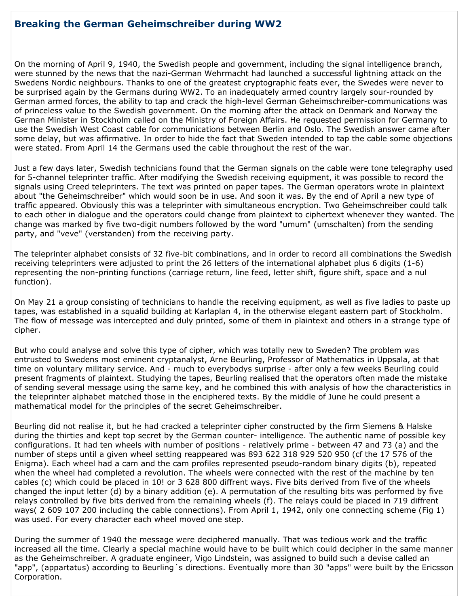## **Breaking the German Geheimschreiber during WW2**

On the morning of April 9, 1940, the Swedish people and government, including the signal intelligence branch, were stunned by the news that the nazi-German Wehrmacht had launched a successful lightning attack on the Swedens Nordic neighbours. Thanks to one of the greatest cryptographic feats ever, the Swedes were never to be surprised again by the Germans during WW2. To an inadequately armed country largely sour-rounded by German armed forces, the ability to tap and crack the high-level German Geheimschreiber-communications was of princeless value to the Swedish government. On the morning after the attack on Denmark and Norway the German Minister in Stockholm called on the Ministry of Foreign Affairs. He requested permission for Germany to use the Swedish West Coast cable for communications between Berlin and Oslo. The Swedish answer came after some delay, but was affirmative. In order to hide the fact that Sweden intended to tap the cable some objections were stated. From April 14 the Germans used the cable throughout the rest of the war.

Just a few days later, Swedish technicians found that the German signals on the cable were tone telegraphy used for 5-channel teleprinter traffic. After modifying the Swedish receiving equipment, it was possible to record the signals using Creed teleprinters. The text was printed on paper tapes. The German operators wrote in plaintext about "the Geheimschreiber" which would soon be in use. And soon it was. By the end of April a new type of traffic appeared. Obviously this was a teleprinter with simultaneous encryption. Two Geheimschreiber could talk to each other in dialogue and the operators could change from plaintext to ciphertext whenever they wanted. The change was marked by five two-digit numbers followed by the word "umum" (umschalten) from the sending party, and "veve" (verstanden) from the receiving party.

The teleprinter alphabet consists of 32 five-bit combinations, and in order to record all combinations the Swedish receiving teleprinters were adjusted to print the 26 letters of the international alphabet plus 6 digits (1-6) representing the non-printing functions (carriage return, line feed, letter shift, figure shift, space and a nul function).

On May 21 a group consisting of technicians to handle the receiving equipment, as well as five ladies to paste up tapes, was established in a squalid building at Karlaplan 4, in the otherwise elegant eastern part of Stockholm. The flow of message was intercepted and duly printed, some of them in plaintext and others in a strange type of cipher.

But who could analyse and solve this type of cipher, which was totally new to Sweden? The problem was entrusted to Swedens most eminent cryptanalyst, Arne Beurling, Professor of Mathematics in Uppsala, at that time on voluntary military service. And - much to everybodys surprise - after only a few weeks Beurling could present fragments of plaintext. Studying the tapes, Beurling realised that the operators often made the mistake of sending several message using the same key, and he combined this with analysis of how the characteristics in the teleprinter alphabet matched those in the enciphered texts. By the middle of June he could present a mathematical model for the principles of the secret Geheimschreiber.

Beurling did not realise it, but he had cracked a teleprinter cipher constructed by the firm Siemens & Halske during the thirties and kept top secret by the German counter- intelligence. The authentic name of possible key configurations. It had ten wheels with number of positions - relatively prime - between 47 and 73 (a) and the number of steps until a given wheel setting reappeared was 893 622 318 929 520 950 (cf the 17 576 of the Enigma). Each wheel had a cam and the cam profiles represented pseudo-random binary digits (b), repeated when the wheel had completed a revolution. The wheels were connected with the rest of the machine by ten cables (c) which could be placed in 10! or 3 628 800 diffrent ways. Five bits derived from five of the wheels changed the input letter (d) by a binary addition (e). A permutation of the resulting bits was performed by five relays controlled by five bits derived from the remaining wheels (f). The relays could be placed in 719 diffrent ways( 2 609 107 200 including the cable connections). From April 1, 1942, only one connecting scheme (Fig 1) was used. For every character each wheel moved one step.

During the summer of 1940 the message were deciphered manually. That was tedious work and the traffic increased all the time. Clearly a special machine would have to be built which could decipher in the same manner as the Geheimschreiber. A graduate engineer, Vigo Lindstein, was assigned to build such a devise called an "app", (appartatus) according to Beurling's directions. Eventually more than 30 "apps" were built by the Ericsson Corporation.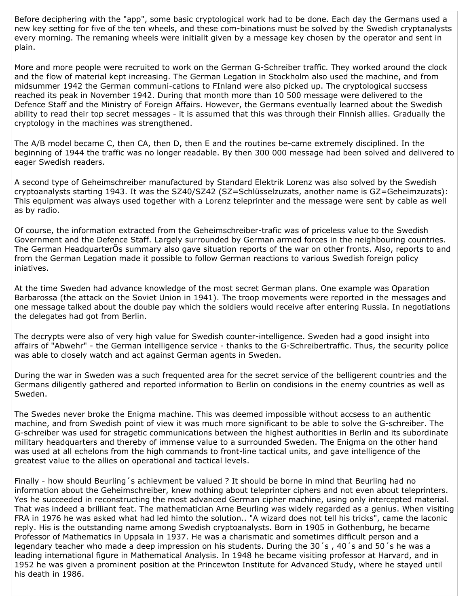Before deciphering with the "app", some basic cryptological work had to be done. Each day the Germans used a new key setting for five of the ten wheels, and these com-binations must be solved by the Swedish cryptanalysts every morning. The remaning wheels were initiallt given by a message key chosen by the operator and sent in plain.

More and more people were recruited to work on the German G-Schreiber traffic. They worked around the clock and the flow of material kept increasing. The German Legation in Stockholm also used the machine, and from midsummer 1942 the German communi-cations to FInland were also picked up. The cryptological succsess reached its peak in November 1942. During that month more than 10 500 message were delivered to the Defence Staff and the Ministry of Foreign Affairs. However, the Germans eventually learned about the Swedish ability to read their top secret messages - it is assumed that this was through their Finnish allies. Gradually the cryptology in the machines was strengthened.

The A/B model became C, then CA, then D, then E and the routines be-came extremely disciplined. In the beginning of 1944 the traffic was no longer readable. By then 300 000 message had been solved and delivered to eager Swedish readers.

A second type of Geheimschreiber manufactured by Standard Elektrik Lorenz was also solved by the Swedish cryptoanalysts starting 1943. It was the SZ40/SZ42 (SZ=Schlüsselzuzats, another name is GZ=Geheimzuzats): This equipment was always used together with a Lorenz teleprinter and the message were sent by cable as well as by radio.

Of course, the information extracted from the Geheimschreiber-trafic was of priceless value to the Swedish Government and the Defence Staff. Largely surrounded by German armed forces in the neighbouring countries. The German HeadquarterOs summary also gave situation reports of the war on other fronts. Also, reports to and from the German Legation made it possible to follow German reactions to various Swedish foreign policy injatives.

At the time Sweden had advance knowledge of the most secret German plans. One example was Oparation Barbarossa (the attack on the Soviet Union in 1941). The troop movements were reported in the messages and one message talked about the double pay which the soldiers would receive after entering Russia. In negotiations the delegates had got from Berlin.

The decrypts were also of very high value for Swedish counter-intelligence. Sweden had a good insight into affairs of "Abwehr" - the German intelligence service - thanks to the G-Schreibertraffic. Thus, the security police was able to closely watch and act against German agents in Sweden.

During the war in Sweden was a such frequented area for the secret service of the belligerent countries and the Germans diligently gathered and reported information to Berlin on condisions in the enemy countries as well as Sweden.

The Swedes never broke the Enigma machine. This was deemed impossible without accsess to an authentic machine, and from Swedish point of view it was much more significant to be able to solve the G-schreiber. The G-schreiber was used for stragetic communications between the highest authorities in Berlin and its subordinate military headquarters and thereby of immense value to a surrounded Sweden. The Enigma on the other hand was used at all echelons from the high commands to front-line tactical units, and gave intelligence of the greatest value to the allies on operational and tactical levels.

Finally - how should Beurling 's achievment be valued ? It should be borne in mind that Beurling had no information about the Geheimschreiber, knew nothing about teleprinter ciphers and not even about teleprinters. Yes he succeeded in reconstructing the most advanced German cipher machine, using only intercepted material. That was indeed a brilliant feat. The mathematician Arne Beurling was widely regarded as a genius. When visiting FRA in 1976 he was asked what had led himto the solution.. "A wizard does not tell his tricks", came the laconic reply. His is the outstanding name among Swedish cryptoanalysts. Born in 1905 in Gothenburg, he became Professor of Mathematics in Uppsala in 1937. He was a charismatic and sometimes difficult person and a legendary teacher who made a deep impression on his students. During the 30's, 40's and 50's he was a leading international figure in Mathematical Analysis. In 1948 he became visiting professor at Harvard, and in 1952 he was given a prominent position at the Princewton Institute for Advanced Study, where he stayed until his death in 1986.